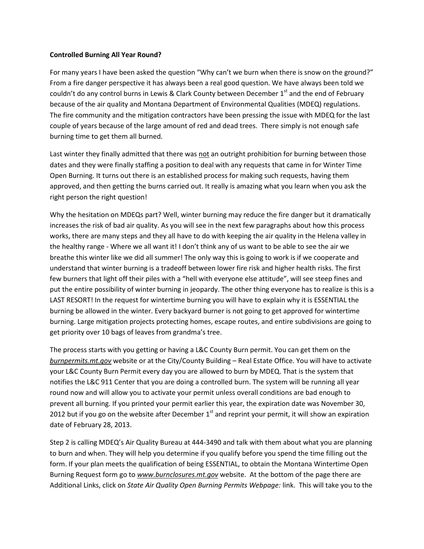## **Controlled Burning All Year Round?**

For many years I have been asked the question "Why can't we burn when there is snow on the ground?" From a fire danger perspective it has always been a real good question. We have always been told we couldn't do any control burns in Lewis & Clark County between December  $1<sup>st</sup>$  and the end of February because of the air quality and Montana Department of Environmental Qualities (MDEQ) regulations. The fire community and the mitigation contractors have been pressing the issue with MDEQ for the last couple of years because of the large amount of red and dead trees. There simply is not enough safe burning time to get them all burned.

Last winter they finally admitted that there was not an outright prohibition for burning between those dates and they were finally staffing a position to deal with any requests that came in for Winter Time Open Burning. It turns out there is an established process for making such requests, having them approved, and then getting the burns carried out. It really is amazing what you learn when you ask the right person the right question!

Why the hesitation on MDEQs part? Well, winter burning may reduce the fire danger but it dramatically increases the risk of bad air quality. As you will see in the next few paragraphs about how this process works, there are many steps and they all have to do with keeping the air quality in the Helena valley in the healthy range - Where we all want it! I don't think any of us want to be able to see the air we breathe this winter like we did all summer! The only way this is going to work is if we cooperate and understand that winter burning is a tradeoff between lower fire risk and higher health risks. The first few burners that light off their piles with a "hell with everyone else attitude", will see steep fines and put the entire possibility of winter burning in jeopardy. The other thing everyone has to realize is this is a LAST RESORT! In the request for wintertime burning you will have to explain why it is ESSENTIAL the burning be allowed in the winter. Every backyard burner is not going to get approved for wintertime burning. Large mitigation projects protecting homes, escape routes, and entire subdivisions are going to get priority over 10 bags of leaves from grandma's tree.

The process starts with you getting or having a L&C County Burn permit. You can get them on the *burnpermits.mt.gov* website or at the City/County Building – Real Estate Office. You will have to activate your L&C County Burn Permit every day you are allowed to burn by MDEQ. That is the system that notifies the L&C 911 Center that you are doing a controlled burn. The system will be running all year round now and will allow you to activate your permit unless overall conditions are bad enough to prevent all burning. If you printed your permit earlier this year, the expiration date was November 30, 2012 but if you go on the website after December  $1<sup>st</sup>$  and reprint your permit, it will show an expiration date of February 28, 2013.

Step 2 is calling MDEQ's Air Quality Bureau at 444-3490 and talk with them about what you are planning to burn and when. They will help you determine if you qualify before you spend the time filling out the form. If your plan meets the qualification of being ESSENTIAL, to obtain the Montana Wintertime Open Burning Request form go to *[www.burnclosures.mt.gov](http://www.burnclosures.mt.gov/)* website. At the bottom of the page there are Additional Links, click on *State Air Quality Open Burning Permits Webpage:* link. This will take you to the